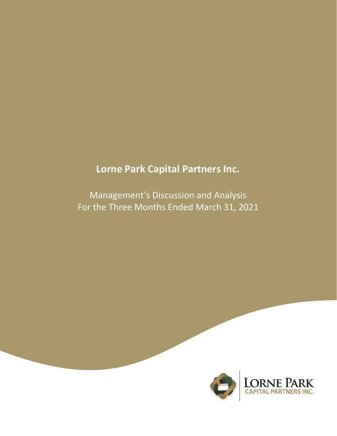# **Lorne Park Capital Partners Inc.**

Management's Discussion and Analysis For the Three Months Ended March 31, 2021

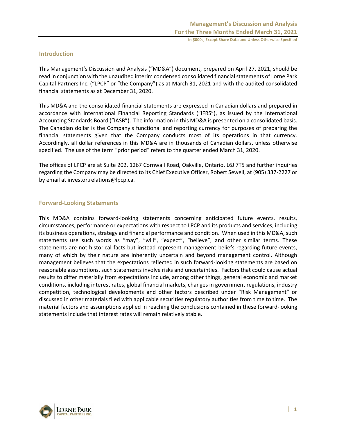# **Introduction**

This Management's Discussion and Analysis ("MD&A") document, prepared on April 27, 2021, should be read in conjunction with the unaudited interim condensed consolidated financial statements of Lorne Park Capital Partners Inc. ("LPCP" or "the Company") as at March 31, 2021 and with the audited consolidated financial statements as at December 31, 2020.

This MD&A and the consolidated financial statements are expressed in Canadian dollars and prepared in accordance with International Financial Reporting Standards ("IFRS"), as issued by the International Accounting Standards Board ("IASB"). The information in this MD&A is presented on a consolidated basis. The Canadian dollar is the Company's functional and reporting currency for purposes of preparing the financial statements given that the Company conducts most of its operations in that currency. Accordingly, all dollar references in this MD&A are in thousands of Canadian dollars, unless otherwise specified. The use of the term "prior period" refers to the quarter ended March 31, 2020.

The offices of LPCP are at Suite 202, 1267 Cornwall Road, Oakville, Ontario, L6J 7T5 and further inquiries regarding the Company may be directed to its Chief Executive Officer, Robert Sewell, at (905) 337-2227 or by email at investor.relations@lpcp.ca.

# **Forward-Looking Statements**

This MD&A contains forward-looking statements concerning anticipated future events, results, circumstances, performance or expectations with respect to LPCP and its products and services, including its business operations, strategy and financial performance and condition. When used in this MD&A, such statements use such words as "may", "will", "expect", "believe", and other similar terms. These statements are not historical facts but instead represent management beliefs regarding future events, many of which by their nature are inherently uncertain and beyond management control. Although management believes that the expectations reflected in such forward-looking statements are based on reasonable assumptions, such statements involve risks and uncertainties. Factors that could cause actual results to differ materially from expectations include, among other things, general economic and market conditions, including interest rates, global financial markets, changes in government regulations, industry competition, technological developments and other factors described under "Risk Management" or discussed in other materials filed with applicable securities regulatory authorities from time to time. The material factors and assumptions applied in reaching the conclusions contained in these forward-looking statements include that interest rates will remain relatively stable.

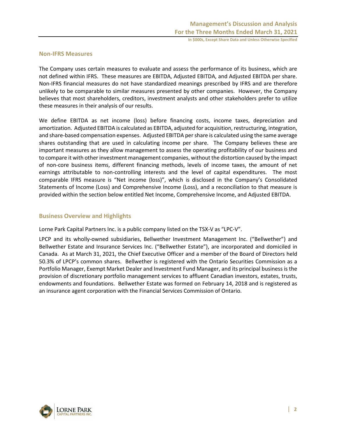# **Non-IFRS Measures**

The Company uses certain measures to evaluate and assess the performance of its business, which are not defined within IFRS. These measures are EBITDA, Adjusted EBITDA, and Adjusted EBITDA per share. Non-IFRS financial measures do not have standardized meanings prescribed by IFRS and are therefore unlikely to be comparable to similar measures presented by other companies. However, the Company believes that most shareholders, creditors, investment analysts and other stakeholders prefer to utilize these measures in their analysis of our results.

We define EBITDA as net income (loss) before financing costs, income taxes, depreciation and amortization. Adjusted EBITDA is calculated as EBITDA, adjusted for acquisition, restructuring, integration, and share-based compensation expenses. Adjusted EBITDA per share is calculated using the same average shares outstanding that are used in calculating income per share. The Company believes these are important measures as they allow management to assess the operating profitability of our business and to compare it with other investment management companies, without the distortion caused by the impact of non-core business items, different financing methods, levels of income taxes, the amount of net earnings attributable to non-controlling interests and the level of capital expenditures. The most comparable IFRS measure is "Net income (loss)", which is disclosed in the Company's Consolidated Statements of Income (Loss) and Comprehensive Income (Loss), and a reconciliation to that measure is provided within the section below entitled Net Income, Comprehensive Income, and Adjusted EBITDA.

# **Business Overview and Highlights**

Lorne Park Capital Partners Inc. is a public company listed on the TSX-V as "LPC-V".

LPCP and its wholly-owned subsidiaries, Bellwether Investment Management Inc. ("Bellwether") and Bellwether Estate and Insurance Services Inc. ("Bellwether Estate"), are incorporated and domiciled in Canada. As at March 31, 2021, the Chief Executive Officer and a member of the Board of Directors held 50.3% of LPCP's common shares. Bellwether is registered with the Ontario Securities Commission as a Portfolio Manager, Exempt Market Dealer and Investment Fund Manager, and its principal business is the provision of discretionary portfolio management services to affluent Canadian investors, estates, trusts, endowments and foundations. Bellwether Estate was formed on February 14, 2018 and is registered as an insurance agent corporation with the Financial Services Commission of Ontario.

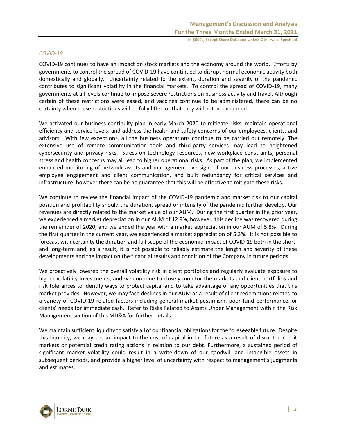#### *COVID-19*

COVID-19 continues to have an impact on stock markets and the economy around the world. Efforts by governments to control the spread of COVID-19 have continued to disrupt normal economic activity both domestically and globally. Uncertainty related to the extent, duration and severity of the pandemic contributes to significant volatility in the financial markets. To control the spread of COVID-19, many governments at all levels continue to impose severe restrictions on business activity and travel. Although certain of these restrictions were eased, and vaccines continue to be administered, there can be no certainty when these restrictions will be fully lifted or that they will not be expanded.

We activated our business continuity plan in early March 2020 to mitigate risks, maintain operational efficiency and service levels, and address the health and safety concerns of our employees, clients, and advisors. With few exceptions, all the business operations continue to be carried out remotely. The extensive use of remote communication tools and third-party services may lead to heightened cybersecurity and privacy risks. Stress on technology resources, new workplace constraints, personal stress and health concerns may all lead to higher operational risks. As part of the plan, we implemented enhanced monitoring of network assets and management oversight of our business processes, active employee engagement and client communication, and built redundancy for critical services and infrastructure, however there can be no guarantee that this will be effective to mitigate these risks.

We continue to review the financial impact of the COVID-19 pandemic and market risk to our capital position and profitability should the duration, spread or intensity of the pandemic further develop. Our revenues are directly related to the market value of our AUM. During the first quarter in the prior year, we experienced a market depreciation in our AUM of 12.9%, however, this decline was recovered during the remainder of 2020, and we ended the year with a market appreciation in our AUM of 5.8%. During the first quarter in the current year, we experienced a market appreciation of 5.3%. It is not possible to forecast with certainty the duration and full scope of the economic impact of COVID-19 both in the shortand long-term and, as a result, it is not possible to reliably estimate the length and severity of these developments and the impact on the financial results and condition of the Company in future periods.

We proactively lowered the overall volatility risk in client portfolios and regularly evaluate exposure to higher volatility investments, and we continue to closely monitor the markets and client portfolios and risk tolerances to identify ways to protect capital and to take advantage of any opportunities that this market provides. However, we may face declines in our AUM as a result of client redemptions related to a variety of COVID-19 related factors including general market pessimism, poor fund performance, or clients' needs for immediate cash. Refer to Risks Related to Assets Under Management within the Risk Management section of this MD&A for further details.

We maintain sufficient liquidity to satisfy all of our financial obligations for the foreseeable future. Despite this liquidity, we may see an impact to the cost of capital in the future as a result of disrupted credit markets or potential credit rating actions in relation to our debt. Furthermore, a sustained period of significant market volatility could result in a write-down of our goodwill and intangible assets in subsequent periods, and provide a higher level of uncertainty with respect to management's judgments and estimates.

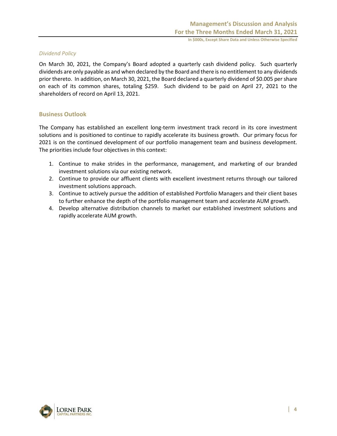# *Dividend Policy*

On March 30, 2021, the Company's Board adopted a quarterly cash dividend policy. Such quarterly dividends are only payable as and when declared by the Board and there is no entitlement to any dividends prior thereto. In addition, on March 30, 2021, the Board declared a quarterly dividend of \$0.005 per share on each of its common shares, totaling \$259. Such dividend to be paid on April 27, 2021 to the shareholders of record on April 13, 2021.

# **Business Outlook**

The Company has established an excellent long-term investment track record in its core investment solutions and is positioned to continue to rapidly accelerate its business growth. Our primary focus for 2021 is on the continued development of our portfolio management team and business development. The priorities include four objectives in this context:

- 1. Continue to make strides in the performance, management, and marketing of our branded investment solutions via our existing network.
- 2. Continue to provide our affluent clients with excellent investment returns through our tailored investment solutions approach.
- 3. Continue to actively pursue the addition of established Portfolio Managers and their client bases to further enhance the depth of the portfolio management team and accelerate AUM growth.
- 4. Develop alternative distribution channels to market our established investment solutions and rapidly accelerate AUM growth.

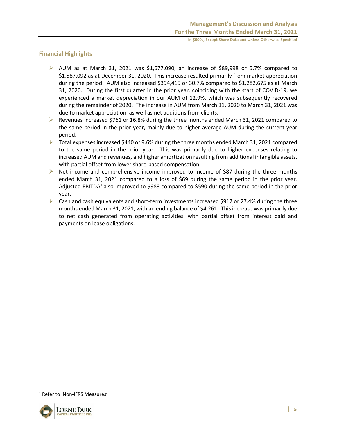# **Financial Highlights**

- $\triangleright$  AUM as at March 31, 2021 was \$1,677,090, an increase of \$89,998 or 5.7% compared to \$1,587,092 as at December 31, 2020. This increase resulted primarily from market appreciation during the period. AUM also increased \$394,415 or 30.7% compared to \$1,282,675 as at March 31, 2020. During the first quarter in the prior year, coinciding with the start of COVID-19, we experienced a market depreciation in our AUM of 12.9%, which was subsequently recovered during the remainder of 2020. The increase in AUM from March 31, 2020 to March 31, 2021 was due to market appreciation, as well as net additions from clients.
- $\triangleright$  Revenues increased \$761 or 16.8% during the three months ended March 31, 2021 compared to the same period in the prior year, mainly due to higher average AUM during the current year period.
- ➢ Total expenses increased \$440 or 9.6% during the three months ended March 31, 2021 compared to the same period in the prior year. This was primarily due to higher expenses relating to increased AUM and revenues, and higher amortization resulting from additional intangible assets, with partial offset from lower share-based compensation.
- $\triangleright$  Net income and comprehensive income improved to income of \$87 during the three months ended March 31, 2021 compared to a loss of \$69 during the same period in the prior year. Adjusted EBITDA<sup>1</sup> also improved to \$983 compared to \$590 during the same period in the prior year.
- $\triangleright$  Cash and cash equivalents and short-term investments increased \$917 or 27.4% during the three months ended March 31, 2021, with an ending balance of \$4,261. This increase was primarily due to net cash generated from operating activities, with partial offset from interest paid and payments on lease obligations.

<sup>&</sup>lt;sup>1</sup> Refer to 'Non-IFRS Measures'

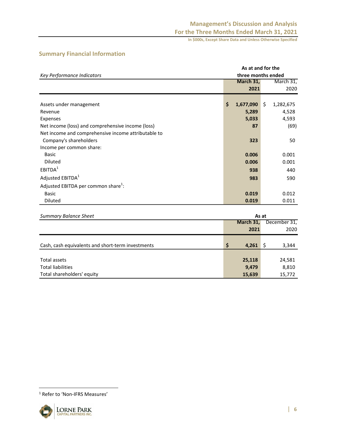# **Management's Discussion and Analysis For the Three Months Ended March 31, 2021**

**In \$000s, Except Share Data and Unless Otherwise Specified**

**As at and for the three months ended**

| Key Performance Indicators |  |
|----------------------------|--|
|                            |  |
|                            |  |
|                            |  |
| Assets under management    |  |
| Revenue                    |  |

# **Summary Financial Information**

|                                                     | March 31,       | March 31,       |
|-----------------------------------------------------|-----------------|-----------------|
|                                                     | 2021            | 2020            |
|                                                     |                 |                 |
| Assets under management                             | \$<br>1,677,090 | \$<br>1,282,675 |
| Revenue                                             | 5,289           | 4,528           |
| Expenses                                            | 5,033           | 4,593           |
| Net income (loss) and comprehensive income (loss)   | 87              | (69)            |
| Net income and comprehensive income attributable to |                 |                 |
| Company's shareholders                              | 323             | 50              |
| Income per common share:                            |                 |                 |
| Basic                                               | 0.006           | 0.001           |
| <b>Diluted</b>                                      | 0.006           | 0.001           |
| EBITDA <sup>1</sup>                                 | 938             | 440             |
| Adjusted EBITDA <sup>1</sup>                        | 983             | 590             |
| Adjusted EBITDA per common share <sup>1</sup> :     |                 |                 |
| Basic                                               | 0.019           | 0.012           |
| <b>Diluted</b>                                      | 0.019           | 0.011           |

| <b>Summary Balance Sheet</b>                      | As at       |              |  |  |
|---------------------------------------------------|-------------|--------------|--|--|
|                                                   | March 31,   | December 31, |  |  |
|                                                   | 2021        | 2020         |  |  |
|                                                   |             |              |  |  |
| Cash, cash equivalents and short-term investments | \$<br>4,261 | 3,344        |  |  |
|                                                   |             |              |  |  |
| Total assets                                      | 25,118      | 24,581       |  |  |
| <b>Total liabilities</b>                          | 9,479       | 8,810        |  |  |
| Total shareholders' equity                        | 15,639      | 15,772       |  |  |

<sup>1</sup> Refer to 'Non-IFRS Measures'

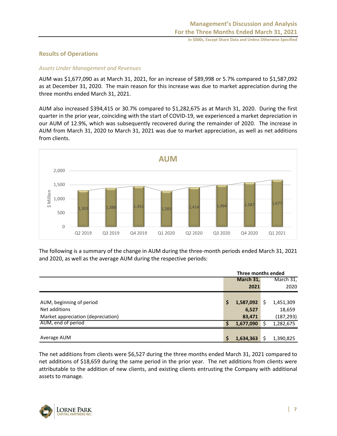# **Results of Operations**

# *Assets Under Management and Revenues*

AUM was \$1,677,090 as at March 31, 2021, for an increase of \$89,998 or 5.7% compared to \$1,587,092 as at December 31, 2020. The main reason for this increase was due to market appreciation during the three months ended March 31, 2021.

AUM also increased \$394,415 or 30.7% compared to \$1,282,675 as at March 31, 2020. During the first quarter in the prior year, coinciding with the start of COVID-19, we experienced a market depreciation in our AUM of 12.9%, which was subsequently recovered during the remainder of 2020. The increase in AUM from March 31, 2020 to March 31, 2021 was due to market appreciation, as well as net additions from clients.



The following is a summary of the change in AUM during the three-month periods ended March 31, 2021 and 2020, as well as the average AUM during the respective periods:

|                                    | Three months ended |           |   |            |
|------------------------------------|--------------------|-----------|---|------------|
|                                    |                    | March 31, |   | March 31,  |
|                                    |                    | 2021      |   | 2020       |
|                                    |                    |           |   |            |
| AUM, beginning of period           | \$                 | 1,587,092 | S | 1,451,309  |
| Net additions                      |                    | 6,527     |   | 18,659     |
| Market appreciation (depreciation) |                    | 83,471    |   | (187, 293) |
| AUM, end of period                 | S                  | 1,677,090 |   | 1,282,675  |
|                                    |                    |           |   |            |
| Average AUM                        | \$                 | 1,634,363 |   | 1,390,825  |

The net additions from clients were \$6,527 during the three months ended March 31, 2021 compared to net additions of \$18,659 during the same period in the prior year. The net additions from clients were attributable to the addition of new clients, and existing clients entrusting the Company with additional assets to manage.

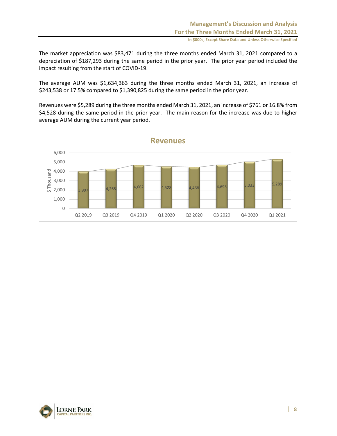The market appreciation was \$83,471 during the three months ended March 31, 2021 compared to a depreciation of \$187,293 during the same period in the prior year. The prior year period included the impact resulting from the start of COVID-19.

The average AUM was \$1,634,363 during the three months ended March 31, 2021, an increase of \$243,538 or 17.5% compared to \$1,390,825 during the same period in the prior year.

Revenues were \$5,289 during the three months ended March 31, 2021, an increase of \$761 or 16.8% from \$4,528 during the same period in the prior year. The main reason for the increase was due to higher average AUM during the current year period.



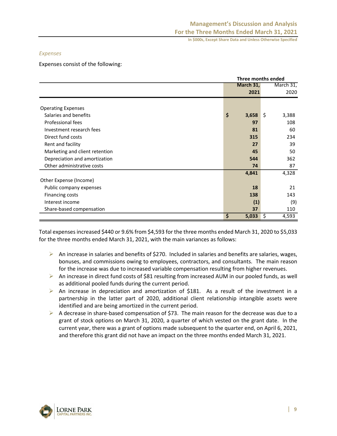## *Expenses*

Expenses consist of the following:

|                                | <b>Three months ended</b> |                  |  |  |
|--------------------------------|---------------------------|------------------|--|--|
|                                | March 31,                 | March 31,        |  |  |
|                                | 2021                      | 2020             |  |  |
|                                |                           |                  |  |  |
| <b>Operating Expenses</b>      |                           |                  |  |  |
| Salaries and benefits          | \$<br>3,658               | $\zeta$<br>3,388 |  |  |
| Professional fees              | 97                        | 108              |  |  |
| Investment research fees       | 81                        | 60               |  |  |
| Direct fund costs              | 315                       | 234              |  |  |
| Rent and facility              | 27                        | 39               |  |  |
| Marketing and client retention | 45                        | 50               |  |  |
| Depreciation and amortization  | 544                       | 362              |  |  |
| Other administrative costs     | 74                        | 87               |  |  |
|                                | 4,841                     | 4,328            |  |  |
| Other Expense (Income)         |                           |                  |  |  |
| Public company expenses        | 18                        | 21               |  |  |
| Financing costs                | 138                       | 143              |  |  |
| Interest income                | (1)                       | (9)              |  |  |
| Share-based compensation       | 37                        | 110              |  |  |
|                                | \$<br>5,033               | \$<br>4,593      |  |  |

Total expenses increased \$440 or 9.6% from \$4,593 for the three months ended March 31, 2020 to \$5,033 for the three months ended March 31, 2021, with the main variances as follows:

- $\triangleright$  An increase in salaries and benefits of \$270. Included in salaries and benefits are salaries, wages, bonuses, and commissions owing to employees, contractors, and consultants. The main reason for the increase was due to increased variable compensation resulting from higher revenues.
- ➢ An increase in direct fund costs of \$81 resulting from increased AUM in our pooled funds, as well as additional pooled funds during the current period.
- $\triangleright$  An increase in depreciation and amortization of \$181. As a result of the investment in a partnership in the latter part of 2020, additional client relationship intangible assets were identified and are being amortized in the current period.
- $\triangleright$  A decrease in share-based compensation of \$73. The main reason for the decrease was due to a grant of stock options on March 31, 2020, a quarter of which vested on the grant date. In the current year, there was a grant of options made subsequent to the quarter end, on April 6, 2021, and therefore this grant did not have an impact on the three months ended March 31, 2021.

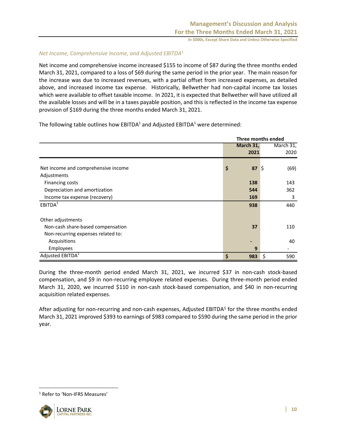# *Net Income, Comprehensive Income, and Adjusted EBITDA*<sup>1</sup>

Net income and comprehensive income increased \$155 to income of \$87 during the three months ended March 31, 2021, compared to a loss of \$69 during the same period in the prior year. The main reason for the increase was due to increased revenues, with a partial offset from increased expenses, as detailed above, and increased income tax expense. Historically, Bellwether had non-capital income tax losses which were available to offset taxable income. In 2021, it is expected that Bellwether will have utilized all the available losses and will be in a taxes payable position, and this is reflected in the income tax expense provision of \$169 during the three months ended March 31, 2021.

The following table outlines how  $EBITDA<sup>1</sup>$  and Adjusted EBITDA<sup>1</sup> were determined:

|                                     | Three months ended |                       |  |  |
|-------------------------------------|--------------------|-----------------------|--|--|
|                                     | March 31,          | $March$ 31,           |  |  |
|                                     | 2021               | 2020                  |  |  |
| Net income and comprehensive income | \$<br>87           | $\frac{1}{2}$<br>(69) |  |  |
| Adjustments                         |                    |                       |  |  |
| Financing costs                     | 138                | 143                   |  |  |
| Depreciation and amortization       | 544                | 362                   |  |  |
| Income tax expense (recovery)       | 169                | 3                     |  |  |
| EBITDA <sup>1</sup>                 | 938                | 440                   |  |  |
| Other adjustments                   |                    |                       |  |  |
| Non-cash share-based compensation   | 37                 | 110                   |  |  |
| Non-recurring expenses related to:  |                    |                       |  |  |
| Acquisitions                        |                    | 40                    |  |  |
| Employees                           | 9                  |                       |  |  |
| Adjusted EBITDA <sup>1</sup>        | \$<br>983          | \$<br>590             |  |  |

During the three-month period ended March 31, 2021, we incurred \$37 in non-cash stock-based compensation, and \$9 in non-recurring employee related expenses. During three-month period ended March 31, 2020, we incurred \$110 in non-cash stock-based compensation, and \$40 in non-recurring acquisition related expenses.

After adjusting for non-recurring and non-cash expenses, Adjusted EBITDA<sup>1</sup> for the three months ended March 31, 2021 improved \$393 to earnings of \$983 compared to \$590 during the same period in the prior year.

<sup>1</sup> Refer to 'Non-IFRS Measures'

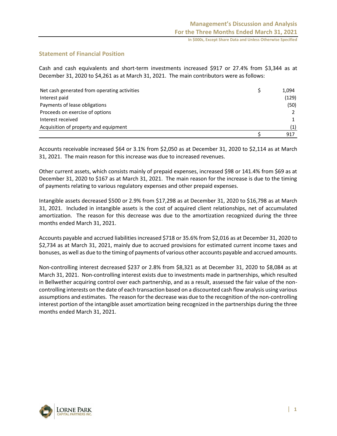# **Statement of Financial Position**

Cash and cash equivalents and short-term investments increased \$917 or 27.4% from \$3,344 as at December 31, 2020 to \$4,261 as at March 31, 2021. The main contributors were as follows:

| Net cash generated from operating activities | 1,094 |
|----------------------------------------------|-------|
| Interest paid                                | (129) |
| Payments of lease obligations                | (50)  |
| Proceeds on exercise of options              |       |
| Interest received                            |       |
| Acquisition of property and equipment        | (1)   |
|                                              | 917   |

Accounts receivable increased \$64 or 3.1% from \$2,050 as at December 31, 2020 to \$2,114 as at March 31, 2021. The main reason for this increase was due to increased revenues.

Other current assets, which consists mainly of prepaid expenses, increased \$98 or 141.4% from \$69 as at December 31, 2020 to \$167 as at March 31, 2021. The main reason for the increase is due to the timing of payments relating to various regulatory expenses and other prepaid expenses.

Intangible assets decreased \$500 or 2.9% from \$17,298 as at December 31, 2020 to \$16,798 as at March 31, 2021. Included in intangible assets is the cost of acquired client relationships, net of accumulated amortization. The reason for this decrease was due to the amortization recognized during the three months ended March 31, 2021.

Accounts payable and accrued liabilities increased \$718 or 35.6% from \$2,016 as at December 31, 2020 to \$2,734 as at March 31, 2021, mainly due to accrued provisions for estimated current income taxes and bonuses, as well as due to the timing of payments of various other accounts payable and accrued amounts.

Non-controlling interest decreased \$237 or 2.8% from \$8,321 as at December 31, 2020 to \$8,084 as at March 31, 2021. Non-controlling interest exists due to investments made in partnerships, which resulted in Bellwether acquiring control over each partnership, and as a result, assessed the fair value of the noncontrolling interests on the date of each transaction based on a discounted cash flow analysis using various assumptions and estimates. The reason for the decrease was due to the recognition of the non-controlling interest portion of the intangible asset amortization being recognized in the partnerships during the three months ended March 31, 2021.

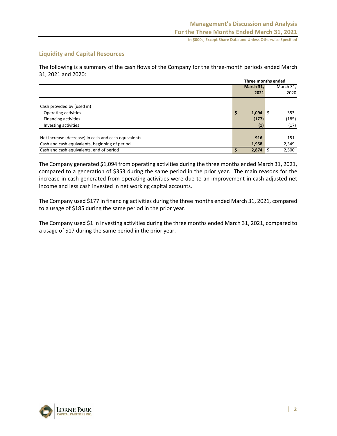# **Liquidity and Capital Resources**

The following is a summary of the cash flows of the Company for the three-month periods ended March 31, 2021 and 2020:

|                                                      | Three months ended |           |  |  |
|------------------------------------------------------|--------------------|-----------|--|--|
|                                                      | March 31,          | March 31, |  |  |
|                                                      | 2021               | 2020      |  |  |
|                                                      |                    |           |  |  |
| Cash provided by (used in)                           |                    |           |  |  |
| Operating activities                                 | \$<br>$1,094$ \$   | 353       |  |  |
| <b>Financing activities</b>                          | (177)              | (185)     |  |  |
| Investing activities                                 | (1)                | (17)      |  |  |
|                                                      |                    |           |  |  |
| Net increase (decrease) in cash and cash equivalents | 916                | 151       |  |  |
| Cash and cash equivalents, beginning of period       | 1,958              | 2,349     |  |  |
| Cash and cash equivalents, end of period             | 2,874              | 2,500     |  |  |

The Company generated \$1,094 from operating activities during the three months ended March 31, 2021, compared to a generation of \$353 during the same period in the prior year. The main reasons for the increase in cash generated from operating activities were due to an improvement in cash adjusted net income and less cash invested in net working capital accounts.

The Company used \$177 in financing activities during the three months ended March 31, 2021, compared to a usage of \$185 during the same period in the prior year.

The Company used \$1 in investing activities during the three months ended March 31, 2021, compared to a usage of \$17 during the same period in the prior year.

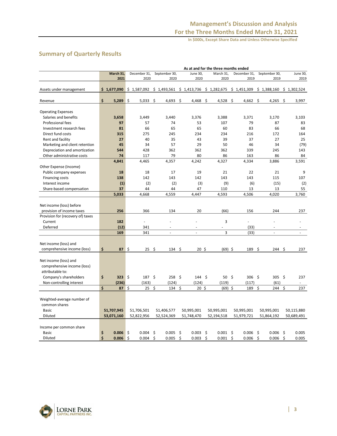# **Summary of Quarterly Results**

|                                                    | As at and for the three months ended |              |                |      |               |     |                          |     |                  |      |              |               |         |             |
|----------------------------------------------------|--------------------------------------|--------------|----------------|------|---------------|-----|--------------------------|-----|------------------|------|--------------|---------------|---------|-------------|
|                                                    | March 31,                            | December 31, |                |      | September 30, |     | June 30,                 |     | March 31,        |      | December 31, | September 30, |         | June 30,    |
|                                                    | 2021                                 |              | 2020           |      | 2020          |     | 2020                     |     | 2020             |      | 2019         | 2019          |         | 2019        |
|                                                    |                                      |              |                |      |               |     |                          |     |                  |      |              |               |         |             |
| Assets under management                            | \$1,677,090                          | \$1,587,092  |                |      | \$1,493,561   |     | $$1,413,736 \$1,282,675$ |     |                  |      | \$1,451,309  | \$1,388,160   |         | \$1,302,524 |
|                                                    |                                      |              |                |      |               |     |                          |     |                  |      |              |               |         |             |
| Revenue                                            | \$<br>5,289                          | \$           | 5,033          | - \$ | 4,693         | \$  | 4,468                    | -\$ | 4,528            | - \$ | 4,662        | -\$<br>4,265  | \$      | 3,997       |
|                                                    |                                      |              |                |      |               |     |                          |     |                  |      |              |               |         |             |
| <b>Operating Expenses</b><br>Salaries and benefits |                                      |              |                |      |               |     |                          |     |                  |      |              | 3,170         |         |             |
| <b>Professional fees</b>                           | 3,658<br>97                          |              | 3,449          |      | 3,440<br>74   |     | 3,376<br>53              |     | 3,388<br>107     |      | 3,371<br>79  | 87            |         | 3,103<br>83 |
| Investment research fees                           | 81                                   |              | 57<br>66       |      | 65            |     | 65                       |     | 60               |      | 83           | 66            |         | 68          |
| Direct fund costs                                  | 315                                  |              | 275            |      | 245           |     | 234                      |     | 234              |      | 216          | 172           |         | 164         |
| Rent and facility                                  | 27                                   |              | 40             |      | 35            |     | 43                       |     | 39               |      | 37           | 27            |         | 25          |
| Marketing and client retention                     | 45                                   |              | 34             |      | 57            |     | 29                       |     | 50               |      | 46           | 34            |         | (79)        |
| Depreciation and amortization                      | 544                                  |              | 428            |      | 362           |     | 362                      |     | 362              |      | 339          | 245           |         | 143         |
| Other administrative costs                         | 74                                   |              | 117            |      | 79            |     | 80                       |     | 86               |      | 163          | 86            |         | 84          |
|                                                    | 4,841                                |              | 4,465          |      | 4,357         |     | 4,242                    |     | 4,327            |      | 4,334        | 3,886         |         | 3,591       |
| Other Expense (Income)                             |                                      |              |                |      |               |     |                          |     |                  |      |              |               |         |             |
| Public company expenses                            | 18                                   |              | 18             |      | 17            |     | 19                       |     | 21               |      | 22           | 21            |         | 9           |
| Financing costs                                    | 138                                  |              | 142            |      | 143           |     | 142                      |     | 143              |      | 143          | 115           |         | 107         |
| Interest income                                    | (1)                                  |              | (2)            |      | (2)           |     | (3)                      |     | (9)              |      | (6)          | (15)          |         | (2)         |
| Share-based compensation                           | 37                                   |              | 44             |      | 44            |     | 47                       |     | 110              |      | 13           | 13            |         | 55          |
|                                                    | 5,033                                |              | 4,668          |      | 4,559         |     | 4,447                    |     | 4,593            |      | 4,506        | 4,020         |         | 3,760       |
|                                                    |                                      |              |                |      |               |     |                          |     |                  |      |              |               |         |             |
| Net income (loss) before                           |                                      |              |                |      |               |     |                          |     |                  |      |              |               |         |             |
| provision of income taxes                          | 256                                  |              | 366            |      | 134           |     | 20                       |     | (66)             |      | 156          | 244           |         | 237         |
| Provision for (recovery of) taxes                  |                                      |              |                |      |               |     |                          |     |                  |      |              |               |         |             |
| Current                                            | 182                                  |              | $\overline{a}$ |      | ä,            |     |                          |     | 3                |      | ä,           | ä,            |         |             |
| Deferred                                           | (12)                                 |              | 341            |      |               |     |                          |     |                  |      | (33)         |               |         |             |
|                                                    | 169                                  |              | 341            |      | $\omega$      |     | $\omega$                 |     | 3                |      | (33)         | $\Box$        |         | $\sim$      |
|                                                    |                                      |              |                |      |               |     |                          |     |                  |      |              |               |         |             |
| Net income (loss) and                              |                                      |              |                |      |               |     |                          |     |                  |      |              |               |         |             |
| comprehensive income (loss)                        | \$<br>87                             | $\zeta$      | 25             | \$   | 134           | \$. | $20 \;$ \$               |     | $(69)$ \$        |      | 189          | \$<br>244     | \$      | 237         |
|                                                    |                                      |              |                |      |               |     |                          |     |                  |      |              |               |         |             |
| Net income (loss) and                              |                                      |              |                |      |               |     |                          |     |                  |      |              |               |         |             |
| comprehensive income (loss)                        |                                      |              |                |      |               |     |                          |     |                  |      |              |               |         |             |
| attributable to:                                   |                                      |              |                |      |               |     |                          |     |                  |      |              |               |         |             |
| Company's shareholders                             | \$<br>$323 \quad $$                  |              | $187 \;$ \$    |      | $258 \;$ \$   |     | $144 \quad$ \$           |     | $50 \; \text{S}$ |      | $306$ \$     | 305           | $\zeta$ | 237         |
| Non-controlling interest                           | (236)                                |              | (163)          |      | (124)         |     | (124)                    |     | (119)            |      | (117)        | (61)          |         |             |
|                                                    | Ś<br>87                              | \$           | 25             | \$   | 134           | \$  | 20 <sub>5</sub>          |     | $(69)$ \$        |      | 189          | \$<br>244     | \$      | 237         |
|                                                    |                                      |              |                |      |               |     |                          |     |                  |      |              |               |         |             |
| Weighted-average number of                         |                                      |              |                |      |               |     |                          |     |                  |      |              |               |         |             |
| common shares<br><b>Basic</b>                      | 51,707,945                           | 51,706,501   |                |      | 51,406,577    |     | 50,995,001               |     | 50,995,001       |      | 50,995,001   | 50,995,001    |         | 50,115,880  |
|                                                    |                                      |              |                |      |               |     |                          |     |                  |      |              |               |         |             |
| Diluted                                            | 53,071,160                           | 52,822,956   |                |      | 52,524,369    |     | 51,748,470               |     | 52,194,518       |      | 51,979,721   | 51,864,192    |         | 50,689,491  |
| Income per common share                            |                                      |              |                |      |               |     |                          |     |                  |      |              |               |         |             |
| <b>Basic</b>                                       | \$<br>0.006                          | \$           | 0.004          | \$   | 0.005         | \$  | 0.003                    | -\$ | $0.001$ \$       |      | 0.006        | \$<br>0.006   | \$      | 0.005       |
| Diluted                                            | Ś<br>0.006                           | \$           | 0.004          | \$   | 0.005         | Ś   | 0.003                    | \$  | 0.001            | \$   | 0.006        | \$<br>0.006   | \$      | 0.005       |

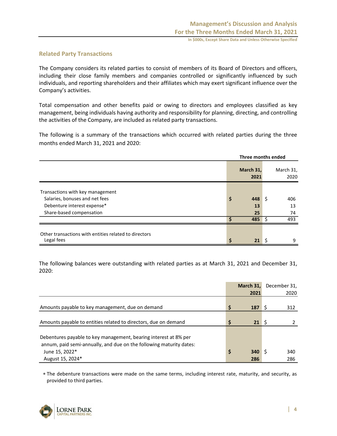# **Related Party Transactions**

The Company considers its related parties to consist of members of its Board of Directors and officers, including their close family members and companies controlled or significantly influenced by such individuals, and reporting shareholders and their affiliates which may exert significant influence over the Company's activities.

Total compensation and other benefits paid or owing to directors and employees classified as key management, being individuals having authority and responsibility for planning, directing, and controlling the activities of the Company, are included as related party transactions.

The following is a summary of the transactions which occurred with related parties during the three months ended March 31, 2021 and 2020:

|                                                       | Three months ended |    |                   |
|-------------------------------------------------------|--------------------|----|-------------------|
|                                                       | March 31,<br>2021  |    | March 31,<br>2020 |
| Transactions with key management                      |                    |    |                   |
| Salaries, bonuses and net fees                        | \$<br>448          | S  | 406               |
| Debenture interest expense*                           | 13                 |    | 13                |
| Share-based compensation                              | 25                 |    | 74                |
|                                                       | 485                | .S | 493               |
| Other transactions with entities related to directors |                    |    |                   |
| Legal fees                                            | \$<br>21           |    | 9                 |

The following balances were outstanding with related parties as at March 31, 2021 and December 31, 2020:

|                                                                     |    | March 31, | December 31, |
|---------------------------------------------------------------------|----|-----------|--------------|
|                                                                     |    | 2021      | 2020         |
|                                                                     |    |           |              |
| Amounts payable to key management, due on demand                    | Ś  | 187       | 312          |
|                                                                     |    |           |              |
| Amounts payable to entities related to directors, due on demand     |    | 21        |              |
|                                                                     |    |           |              |
| Debentures payable to key management, bearing interest at 8% per    |    |           |              |
| annum, paid semi-annually, and due on the following maturity dates: |    |           |              |
| June 15, 2022*                                                      | \$ | 340       | 340          |
| August 15, 2024*                                                    |    | 286       | 286          |

 The debenture transactions were made on the same terms, including interest rate, maturity, and security, as provided to third parties.

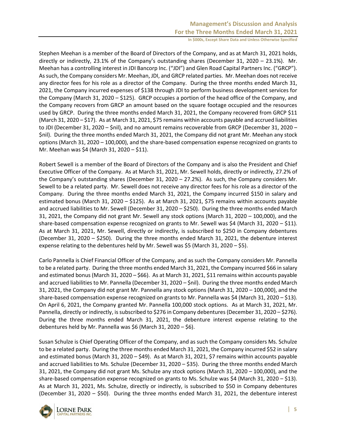Stephen Meehan is a member of the Board of Directors of the Company, and as at March 31, 2021 holds, directly or indirectly, 23.1% of the Company's outstanding shares (December 31, 2020 – 23.1%). Mr. Meehan has a controlling interest in JDI Bancorp Inc. ("JDI") and Glen Road Capital Partners Inc. ("GRCP"). As such, the Company considers Mr. Meehan, JDI, and GRCP related parties. Mr. Meehan does not receive any director fees for his role as a director of the Company. During the three months ended March 31, 2021, the Company incurred expenses of \$138 through JDI to perform business development services for the Company (March 31, 2020 – \$125). GRCP occupies a portion of the head office of the Company, and the Company recovers from GRCP an amount based on the square footage occupied and the resources used by GRCP. During the three months ended March 31, 2021, the Company recovered from GRCP \$11 (March 31, 2020 – \$17). As at March 31, 2021, \$75 remains within accounts payable and accrued liabilities to JDI (December 31, 2020 – \$nil), and no amount remains recoverable from GRCP (December 31, 2020 – \$nil). During the three months ended March 31, 2021, the Company did not grant Mr. Meehan any stock options (March 31, 2020 – 100,000), and the share-based compensation expense recognized on grants to Mr. Meehan was \$4 (March 31, 2020 – \$11).

Robert Sewell is a member of the Board of Directors of the Company and is also the President and Chief Executive Officer of the Company. As at March 31, 2021, Mr. Sewell holds, directly or indirectly, 27.2% of the Company's outstanding shares (December 31, 2020 – 27.2%). As such, the Company considers Mr. Sewell to be a related party. Mr. Sewell does not receive any director fees for his role as a director of the Company. During the three months ended March 31, 2021, the Company incurred \$150 in salary and estimated bonus (March 31, 2020 – \$125). As at March 31, 2021, \$75 remains within accounts payable and accrued liabilities to Mr. Sewell (December 31, 2020 – \$250). During the three months ended March 31, 2021, the Company did not grant Mr. Sewell any stock options (March 31, 2020 – 100,000), and the share-based compensation expense recognized on grants to Mr. Sewell was \$4 (March 31, 2020 – \$11). As at March 31, 2021, Mr. Sewell, directly or indirectly, is subscribed to \$250 in Company debentures (December 31, 2020 – \$250). During the three months ended March 31, 2021, the debenture interest expense relating to the debentures held by Mr. Sewell was \$5 (March 31, 2020 – \$5).

Carlo Pannella is Chief Financial Officer of the Company, and as such the Company considers Mr. Pannella to be a related party. During the three months ended March 31, 2021, the Company incurred \$66 in salary and estimated bonus (March 31, 2020 – \$66). As at March 31, 2021, \$11 remains within accounts payable and accrued liabilities to Mr. Pannella (December 31, 2020 – \$nil). During the three months ended March 31, 2021, the Company did not grant Mr. Pannella any stock options (March 31, 2020 – 100,000), and the share-based compensation expense recognized on grants to Mr. Pannella was \$4 (March 31, 2020 – \$13). On April 6, 2021, the Company granted Mr. Pannella 100,000 stock options. As at March 31, 2021, Mr. Pannella, directly or indirectly, is subscribed to \$276 in Company debentures (December 31, 2020 – \$276). During the three months ended March 31, 2021, the debenture interest expense relating to the debentures held by Mr. Pannella was \$6 (March 31, 2020 – \$6).

Susan Schulze is Chief Operating Officer of the Company, and as such the Company considers Ms. Schulze to be a related party. During the three months ended March 31, 2021, the Company incurred \$52 in salary and estimated bonus (March 31, 2020 – \$49). As at March 31, 2021, \$7 remains within accounts payable and accrued liabilities to Ms. Schulze (December 31, 2020 – \$35). During the three months ended March 31, 2021, the Company did not grant Ms. Schulze any stock options (March 31, 2020 – 100,000), and the share-based compensation expense recognized on grants to Ms. Schulze was \$4 (March 31, 2020 – \$13). As at March 31, 2021, Ms. Schulze, directly or indirectly, is subscribed to \$50 in Company debentures (December 31, 2020 – \$50). During the three months ended March 31, 2021, the debenture interest

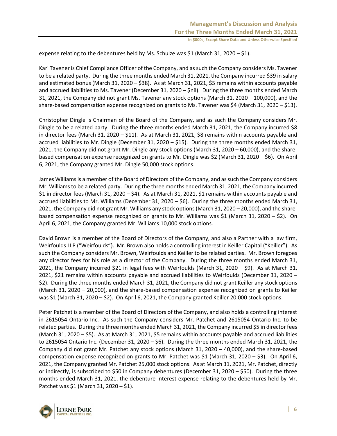expense relating to the debentures held by Ms. Schulze was \$1 (March 31, 2020 – \$1).

Kari Tavener is Chief Compliance Officer of the Company, and as such the Company considers Ms. Tavener to be a related party. During the three months ended March 31, 2021, the Company incurred \$39 in salary and estimated bonus (March 31, 2020 – \$38). As at March 31, 2021, \$5 remains within accounts payable and accrued liabilities to Ms. Tavener (December 31, 2020 – \$nil). During the three months ended March 31, 2021, the Company did not grant Ms. Tavener any stock options (March 31, 2020 – 100,000), and the share-based compensation expense recognized on grants to Ms. Tavener was \$4 (March 31, 2020 – \$13).

Christopher Dingle is Chairman of the Board of the Company, and as such the Company considers Mr. Dingle to be a related party. During the three months ended March 31, 2021, the Company incurred \$8 in director fees (March 31, 2020 – \$11). As at March 31, 2021, \$8 remains within accounts payable and accrued liabilities to Mr. Dingle (December 31, 2020 – \$15). During the three months ended March 31, 2021, the Company did not grant Mr. Dingle any stock options (March 31, 2020 – 60,000), and the sharebased compensation expense recognized on grants to Mr. Dingle was \$2 (March 31, 2020 – \$6). On April 6, 2021, the Company granted Mr. Dingle 50,000 stock options.

James Williams is a member of the Board of Directors of the Company, and as such the Company considers Mr. Williamsto be a related party. During the three months ended March 31, 2021, the Company incurred \$1 in director fees (March 31, 2020 – \$4). As at March 31, 2021, \$1 remains within accounts payable and accrued liabilities to Mr. Williams (December 31, 2020 – \$6). During the three months ended March 31, 2021, the Company did not grant Mr. Williams any stock options (March 31, 2020 – 20,000), and the sharebased compensation expense recognized on grants to Mr. Williams was \$1 (March 31, 2020 – \$2). On April 6, 2021, the Company granted Mr. Williams 10,000 stock options.

David Brown is a member of the Board of Directors of the Company, and also a Partner with a law firm, Weirfoulds LLP ("Weirfoulds"). Mr. Brown also holds a controlling interest in Keiller Capital ("Keiller"). As such the Company considers Mr. Brown, Weirfoulds and Keiller to be related parties. Mr. Brown foregoes any director fees for his role as a director of the Company. During the three months ended March 31, 2021, the Company incurred \$21 in legal fees with Weirfoulds (March 31, 2020 – \$9). As at March 31, 2021, \$21 remains within accounts payable and accrued liabilities to Weirfoulds (December 31, 2020 – \$2). During the three months ended March 31, 2021, the Company did not grant Keiller any stock options (March 31, 2020 – 20,000), and the share-based compensation expense recognized on grants to Keiller was \$1 (March 31, 2020 – \$2). On April 6, 2021, the Company granted Keiller 20,000 stock options.

Peter Patchet is a member of the Board of Directors of the Company, and also holds a controlling interest in 2615054 Ontario Inc. As such the Company considers Mr. Patchet and 2615054 Ontario Inc. to be related parties. During the three months ended March 31, 2021, the Company incurred \$5 in director fees (March 31, 2020 – \$5). As at March 31, 2021, \$5 remains within accounts payable and accrued liabilities to 2615054 Ontario Inc. (December 31, 2020 – \$6). During the three months ended March 31, 2021, the Company did not grant Mr. Patchet any stock options (March 31, 2020 – 40,000), and the share-based compensation expense recognized on grants to Mr. Patchet was \$1 (March 31, 2020 – \$3). On April 6, 2021, the Company granted Mr. Patchet 25,000 stock options. As at March 31, 2021, Mr. Patchet, directly or indirectly, is subscribed to \$50 in Company debentures (December 31, 2020 – \$50). During the three months ended March 31, 2021, the debenture interest expense relating to the debentures held by Mr. Patchet was \$1 (March 31, 2020 – \$1).

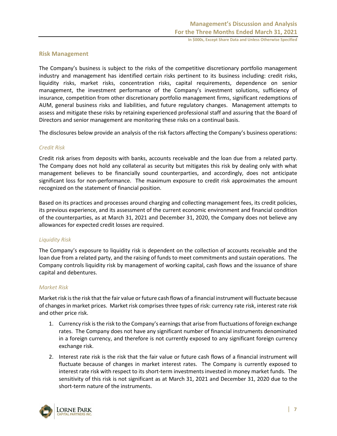# **Risk Management**

The Company's business is subject to the risks of the competitive discretionary portfolio management industry and management has identified certain risks pertinent to its business including: credit risks, liquidity risks, market risks, concentration risks, capital requirements, dependence on senior management, the investment performance of the Company's investment solutions, sufficiency of insurance, competition from other discretionary portfolio management firms, significant redemptions of AUM, general business risks and liabilities, and future regulatory changes. Management attempts to assess and mitigate these risks by retaining experienced professional staff and assuring that the Board of Directors and senior management are monitoring these risks on a continual basis.

The disclosures below provide an analysis of the risk factors affecting the Company's business operations:

# *Credit Risk*

Credit risk arises from deposits with banks, accounts receivable and the loan due from a related party. The Company does not hold any collateral as security but mitigates this risk by dealing only with what management believes to be financially sound counterparties, and accordingly, does not anticipate significant loss for non-performance. The maximum exposure to credit risk approximates the amount recognized on the statement of financial position.

Based on its practices and processes around charging and collecting management fees, its credit policies, its previous experience, and its assessment of the current economic environment and financial condition of the counterparties, as at March 31, 2021 and December 31, 2020, the Company does not believe any allowances for expected credit losses are required.

# *Liquidity Risk*

The Company's exposure to liquidity risk is dependent on the collection of accounts receivable and the loan due from a related party, and the raising of funds to meet commitments and sustain operations. The Company controls liquidity risk by management of working capital, cash flows and the issuance of share capital and debentures.

### *Market Risk*

Market risk is the risk that the fair value or future cash flows of a financial instrument will fluctuate because of changes in market prices. Market risk comprises three types of risk: currency rate risk, interest rate risk and other price risk.

- 1. Currency risk is the risk to the Company's earnings that arise from fluctuations of foreign exchange rates. The Company does not have any significant number of financial instruments denominated in a foreign currency, and therefore is not currently exposed to any significant foreign currency exchange risk.
- 2. Interest rate risk is the risk that the fair value or future cash flows of a financial instrument will fluctuate because of changes in market interest rates. The Company is currently exposed to interest rate risk with respect to its short-term investments invested in money market funds. The sensitivity of this risk is not significant as at March 31, 2021 and December 31, 2020 due to the short-term nature of the instruments.

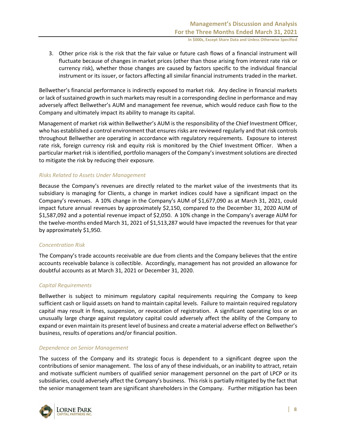3. Other price risk is the risk that the fair value or future cash flows of a financial instrument will fluctuate because of changes in market prices (other than those arising from interest rate risk or currency risk), whether those changes are caused by factors specific to the individual financial instrument or its issuer, or factors affecting all similar financial instruments traded in the market.

Bellwether's financial performance is indirectly exposed to market risk. Any decline in financial markets or lack of sustained growth in such markets may result in a corresponding decline in performance and may adversely affect Bellwether's AUM and management fee revenue, which would reduce cash flow to the Company and ultimately impact its ability to manage its capital.

Management of market risk within Bellwether's AUM is the responsibility of the Chief Investment Officer, who has established a control environment that ensures risks are reviewed regularly and that risk controls throughout Bellwether are operating in accordance with regulatory requirements. Exposure to interest rate risk, foreign currency risk and equity risk is monitored by the Chief Investment Officer. When a particular market risk is identified, portfolio managers of the Company's investment solutions are directed to mitigate the risk by reducing their exposure.

# *Risks Related to Assets Under Management*

Because the Company's revenues are directly related to the market value of the investments that its subsidiary is managing for Clients, a change in market indices could have a significant impact on the Company's revenues. A 10% change in the Company's AUM of \$1,677,090 as at March 31, 2021, could impact future annual revenues by approximately \$2,150, compared to the December 31, 2020 AUM of \$1,587,092 and a potential revenue impact of \$2,050. A 10% change in the Company's average AUM for the twelve-months ended March 31, 2021 of \$1,513,287 would have impacted the revenues for that year by approximately \$1,950.

### *Concentration Risk*

The Company's trade accounts receivable are due from clients and the Company believes that the entire accounts receivable balance is collectible. Accordingly, management has not provided an allowance for doubtful accounts as at March 31, 2021 or December 31, 2020.

### *Capital Requirements*

Bellwether is subject to minimum regulatory capital requirements requiring the Company to keep sufficient cash or liquid assets on hand to maintain capital levels. Failure to maintain required regulatory capital may result in fines, suspension, or revocation of registration. A significant operating loss or an unusually large charge against regulatory capital could adversely affect the ability of the Company to expand or even maintain its present level of business and create a material adverse effect on Bellwether's business, results of operations and/or financial position.

### *Dependence on Senior Management*

The success of the Company and its strategic focus is dependent to a significant degree upon the contributions of senior management. The loss of any of these individuals, or an inability to attract, retain and motivate sufficient numbers of qualified senior management personnel on the part of LPCP or its subsidiaries, could adversely affect the Company's business. This risk is partially mitigated by the fact that the senior management team are significant shareholders in the Company. Further mitigation has been

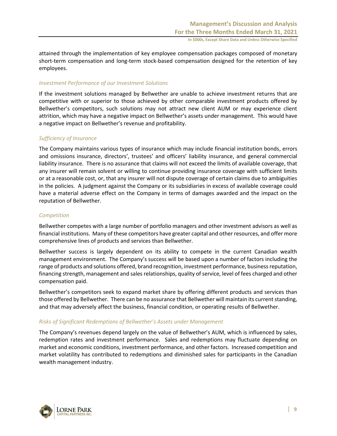attained through the implementation of key employee compensation packages composed of monetary short-term compensation and long-term stock-based compensation designed for the retention of key employees.

### *Investment Performance of our Investment Solutions*

If the investment solutions managed by Bellwether are unable to achieve investment returns that are competitive with or superior to those achieved by other comparable investment products offered by Bellwether's competitors, such solutions may not attract new client AUM or may experience client attrition, which may have a negative impact on Bellwether's assets under management. This would have a negative impact on Bellwether's revenue and profitability.

# *Sufficiency of Insurance*

The Company maintains various types of insurance which may include financial institution bonds, errors and omissions insurance, directors', trustees' and officers' liability insurance, and general commercial liability insurance. There is no assurance that claims will not exceed the limits of available coverage, that any insurer will remain solvent or willing to continue providing insurance coverage with sufficient limits or at a reasonable cost, or, that any insurer will not dispute coverage of certain claims due to ambiguities in the policies. A judgment against the Company or its subsidiaries in excess of available coverage could have a material adverse effect on the Company in terms of damages awarded and the impact on the reputation of Bellwether.

# *Competition*

Bellwether competes with a large number of portfolio managers and other investment advisors as well as financial institutions. Many of these competitors have greater capital and other resources, and offer more comprehensive lines of products and services than Bellwether.

Bellwether success is largely dependent on its ability to compete in the current Canadian wealth management environment. The Company's success will be based upon a number of factors including the range of products and solutions offered, brand recognition, investment performance, business reputation, financing strength, management and sales relationships, quality of service, level of fees charged and other compensation paid.

Bellwether's competitors seek to expand market share by offering different products and services than those offered by Bellwether. There can be no assurance that Bellwether will maintain its current standing, and that may adversely affect the business, financial condition, or operating results of Bellwether.

### *Risks of Significant Redemptions of Bellwether's Assets under Management*

The Company's revenues depend largely on the value of Bellwether's AUM, which is influenced by sales, redemption rates and investment performance. Sales and redemptions may fluctuate depending on market and economic conditions, investment performance, and other factors. Increased competition and market volatility has contributed to redemptions and diminished sales for participants in the Canadian wealth management industry.